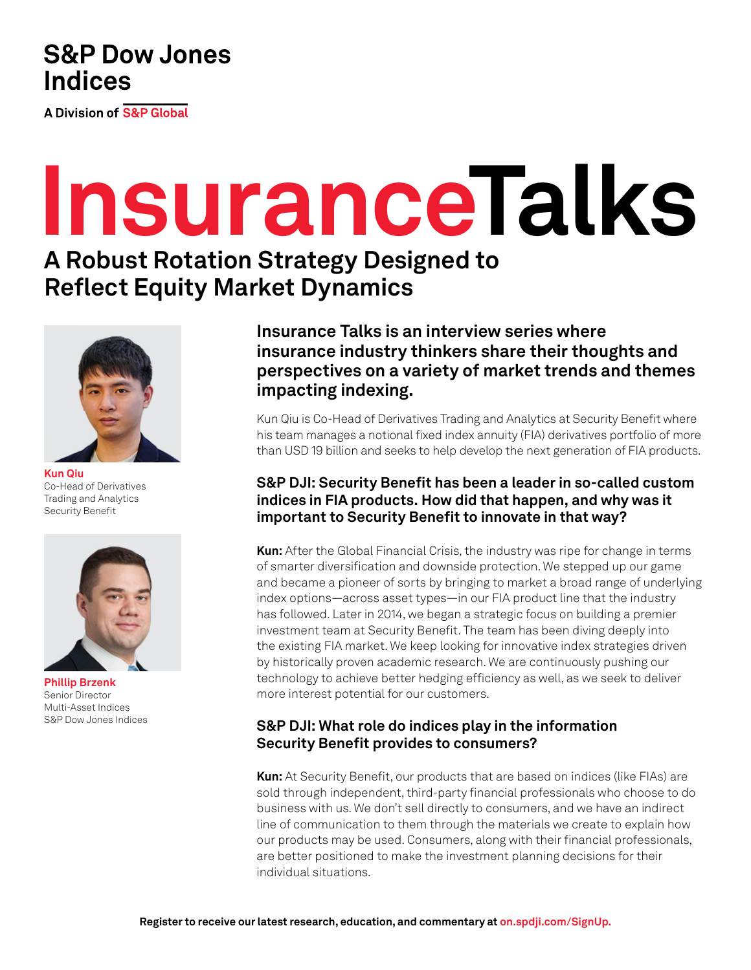## **S&P Dow Jones Indices**

A Division of S&P Global

# **InsuranceTalks**

# **A Robust Rotation Strategy Designed to Reflect Equity Market Dynamics**



**Kun Qiu**  Co-Head of Derivatives Trading and Analytics Security Benefit



**Phillip Brzenk**  Senior Director Multi-Asset Indices S&P Dow Jones Indices

**Insurance Talks is an interview series where insurance industry thinkers share their thoughts and perspectives on a variety of market trends and themes impacting indexing.**

Kun Qiu is Co-Head of Derivatives Trading and Analytics at Security Benefit where his team manages a notional fixed index annuity (FIA) derivatives portfolio of more than USD 19 billion and seeks to help develop the next generation of FIA products.

## **S&P DJI: Security Benefit has been a leader in so-called custom indices in FIA products. How did that happen, and why was it important to Security Benefit to innovate in that way?**

**Kun:** After the Global Financial Crisis, the industry was ripe for change in terms of smarter diversification and downside protection. We stepped up our game and became a pioneer of sorts by bringing to market a broad range of underlying index options—across asset types—in our FIA product line that the industry has followed. Later in 2014, we began a strategic focus on building a premier investment team at Security Benefit. The team has been diving deeply into the existing FIA market. We keep looking for innovative index strategies driven by historically proven academic research. We are continuously pushing our technology to achieve better hedging efficiency as well, as we seek to deliver more interest potential for our customers.

## **S&P DJI: What role do indices play in the information Security Benefit provides to consumers?**

**Kun:** At Security Benefit, our products that are based on indices (like FIAs) are sold through independent, third-party financial professionals who choose to do business with us. We don't sell directly to consumers, and we have an indirect line of communication to them through the materials we create to explain how our products may be used. Consumers, along with their financial professionals, are better positioned to make the investment planning decisions for their individual situations.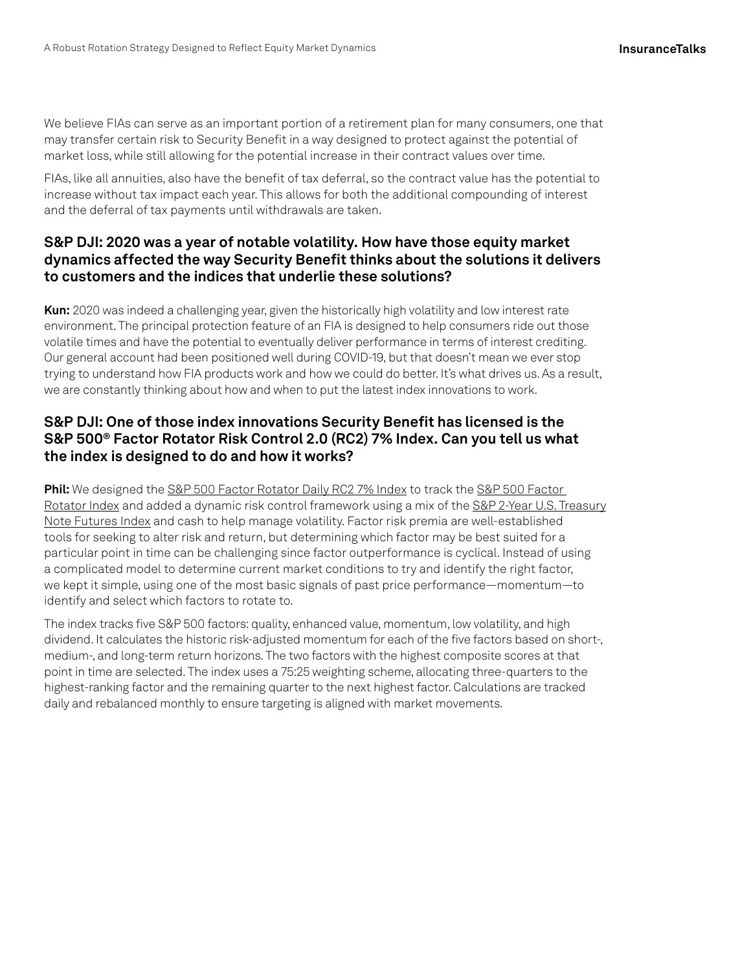We believe FIAs can serve as an important portion of a retirement plan for many consumers, one that may transfer certain risk to Security Benefit in a way designed to protect against the potential of market loss, while still allowing for the potential increase in their contract values over time.

FIAs, like all annuities, also have the benefit of tax deferral, so the contract value has the potential to increase without tax impact each year. This allows for both the additional compounding of interest and the deferral of tax payments until withdrawals are taken.

#### **S&P DJI: 2020 was a year of notable volatility. How have those equity market dynamics affected the way Security Benefit thinks about the solutions it delivers to customers and the indices that underlie these solutions?**

**Kun:** 2020 was indeed a challenging year, given the historically high volatility and low interest rate environment. The principal protection feature of an FIA is designed to help consumers ride out those volatile times and have the potential to eventually deliver performance in terms of interest crediting. Our general account had been positioned well during COVID-19, but that doesn't mean we ever stop trying to understand how FIA products work and how we could do better. It's what drives us. As a result, we are constantly thinking about how and when to put the latest index innovations to work.

#### **S&P DJI: One of those index innovations Security Benefit has licensed is the S&P 500® Factor Rotator Risk Control 2.0 (RC2) 7% Index. Can you tell us what the index is designed to do and how it works?**

**Phil:** We designed the [S&P 500 Factor Rotator Daily RC2 7% Index](https://spglobal.com/spdji/en/indices/strategy/sp-500-factor-rotator-daily-rc2-7-index/?utm_source=pdf_education) to track the S&P 500 Factor [Rotator Index](https://spglobal.com/spdji/en/indices/strategy/sp-500-factor-rotator-index/?utm_source=pdf_education) and added a dynamic risk control framework using a mix of the [S&P 2-Year U.S. Treasury](https://spglobal.com/spdji/en/indices/fixed-income/sp-2-year-us-treasury-note-futures-total-return-index/?utm_source=pdf_education) [Note Futures Index](https://spglobal.com/spdji/en/indices/fixed-income/sp-2-year-us-treasury-note-futures-total-return-index/?utm_source=pdf_education) and cash to help manage volatility. Factor risk premia are well-established tools for seeking to alter risk and return, but determining which factor may be best suited for a particular point in time can be challenging since factor outperformance is cyclical. Instead of using a complicated model to determine current market conditions to try and identify the right factor, we kept it simple, using one of the most basic signals of past price performance—momentum—to identify and select which factors to rotate to.

The index tracks five S&P 500 factors: quality, enhanced value, momentum, low volatility, and high dividend. It calculates the historic risk-adjusted momentum for each of the five factors based on short-, medium-, and long-term return horizons. The two factors with the highest composite scores at that point in time are selected. The index uses a 75:25 weighting scheme, allocating three-quarters to the highest-ranking factor and the remaining quarter to the next highest factor. Calculations are tracked daily and rebalanced monthly to ensure targeting is aligned with market movements.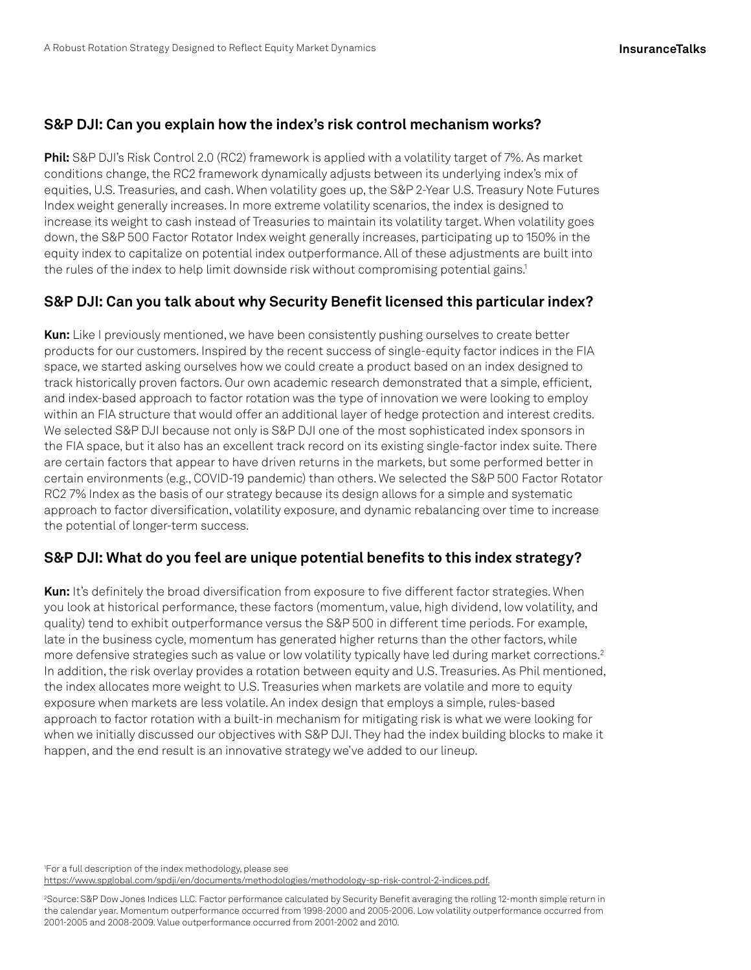#### **S&P DJI: Can you explain how the index's risk control mechanism works?**

**Phil:** S&P DJI's Risk Control 2.0 (RC2) framework is applied with a volatility target of 7%. As market conditions change, the RC2 framework dynamically adjusts between its underlying index's mix of equities, U.S. Treasuries, and cash. When volatility goes up, the S&P 2-Year U.S. Treasury Note Futures Index weight generally increases. In more extreme volatility scenarios, the index is designed to increase its weight to cash instead of Treasuries to maintain its volatility target. When volatility goes down, the S&P 500 Factor Rotator Index weight generally increases, participating up to 150% in the equity index to capitalize on potential index outperformance. All of these adjustments are built into the rules of the index to help limit downside risk without compromising potential gains.<sup>1</sup>

#### **S&P DJI: Can you talk about why Security Benefit licensed this particular index?**

**Kun:** Like I previously mentioned, we have been consistently pushing ourselves to create better products for our customers. Inspired by the recent success of single-equity factor indices in the FIA space, we started asking ourselves how we could create a product based on an index designed to track historically proven factors. Our own academic research demonstrated that a simple, efficient, and index-based approach to factor rotation was the type of innovation we were looking to employ within an FIA structure that would offer an additional layer of hedge protection and interest credits. We selected S&P DJI because not only is S&P DJI one of the most sophisticated index sponsors in the FIA space, but it also has an excellent track record on its existing single-factor index suite. There are certain factors that appear to have driven returns in the markets, but some performed better in certain environments (e.g., COVID-19 pandemic) than others. We selected the S&P 500 Factor Rotator RC2 7% Index as the basis of our strategy because its design allows for a simple and systematic approach to factor diversification, volatility exposure, and dynamic rebalancing over time to increase the potential of longer-term success.

#### **S&P DJI: What do you feel are unique potential benefits to this index strategy?**

**Kun:** It's definitely the broad diversification from exposure to five different factor strategies. When you look at historical performance, these factors (momentum, value, high dividend, low volatility, and quality) tend to exhibit outperformance versus the S&P 500 in different time periods. For example, late in the business cycle, momentum has generated higher returns than the other factors, while more defensive strategies such as value or low volatility typically have led during market corrections.<sup>2</sup> In addition, the risk overlay provides a rotation between equity and U.S. Treasuries. As Phil mentioned, the index allocates more weight to U.S. Treasuries when markets are volatile and more to equity exposure when markets are less volatile. An index design that employs a simple, rules-based approach to factor rotation with a built-in mechanism for mitigating risk is what we were looking for when we initially discussed our objectives with S&P DJI. They had the index building blocks to make it happen, and the end result is an innovative strategy we've added to our lineup.

1 For a full description of the index methodology, please see

[https://www.spglobal.com/spdji/en/documents/methodologies/methodology-sp-risk-control-2-indices.pdf.](https://www.spglobal.com/spdji/en/documents/methodologies/methodology-sp-risk-control-2-indices.pdf?utm_source=pdf_education)

2 Source: S&P Dow Jones Indices LLC. Factor performance calculated by Security Benefit averaging the rolling 12-month simple return in the calendar year. Momentum outperformance occurred from 1998-2000 and 2005-2006. Low volatility outperformance occurred from 2001-2005 and 2008-2009. Value outperformance occurred from 2001-2002 and 2010.